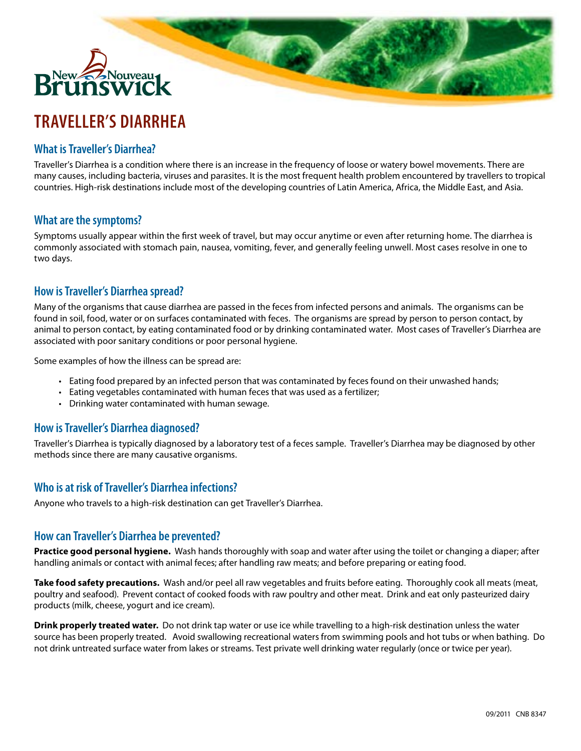# New Nouveau 1

## **TRAVELLER'S DIARRHEA**

#### **What is Traveller's Diarrhea?**

Traveller's Diarrhea is a condition where there is an increase in the frequency of loose or watery bowel movements. There are many causes, including bacteria, viruses and parasites. It is the most frequent health problem encountered by travellers to tropical countries. High-risk destinations include most of the developing countries of Latin America, Africa, the Middle East, and Asia.

**Maria** 

#### **What are the symptoms?**

Symptoms usually appear within the first week of travel, but may occur anytime or even after returning home. The diarrhea is commonly associated with stomach pain, nausea, vomiting, fever, and generally feeling unwell. Most cases resolve in one to two days.

#### **How is Traveller's Diarrhea spread?**

Many of the organisms that cause diarrhea are passed in the feces from infected persons and animals. The organisms can be found in soil, food, water or on surfaces contaminated with feces. The organisms are spread by person to person contact, by animal to person contact, by eating contaminated food or by drinking contaminated water. Most cases of Traveller's Diarrhea are associated with poor sanitary conditions or poor personal hygiene.

Some examples of how the illness can be spread are:

- • Eating food prepared by an infected person that was contaminated by feces found on their unwashed hands;
- • Eating vegetables contaminated with human feces that was used as a fertilizer;
- Drinking water contaminated with human sewage.

#### **How is Traveller's Diarrhea diagnosed?**

Traveller's Diarrhea is typically diagnosed by a laboratory test of a feces sample. Traveller's Diarrhea may be diagnosed by other methods since there are many causative organisms.

#### **Who is at risk of Traveller's Diarrhea infections?**

Anyone who travels to a high-risk destination can get Traveller's Diarrhea.

#### **How can Traveller's Diarrhea be prevented?**

**Practice good personal hygiene.** Wash hands thoroughly with soap and water after using the toilet or changing a diaper; after handling animals or contact with animal feces; after handling raw meats; and before preparing or eating food.

**Take food safety precautions.** Wash and/or peel all raw vegetables and fruits before eating. Thoroughly cook all meats (meat, poultry and seafood). Prevent contact of cooked foods with raw poultry and other meat. Drink and eat only pasteurized dairy products (milk, cheese, yogurt and ice cream).

**Drink properly treated water.** Do not drink tap water or use ice while travelling to a high-risk destination unless the water source has been properly treated. Avoid swallowing recreational waters from swimming pools and hot tubs or when bathing. Do not drink untreated surface water from lakes or streams. Test private well drinking water regularly (once or twice per year).